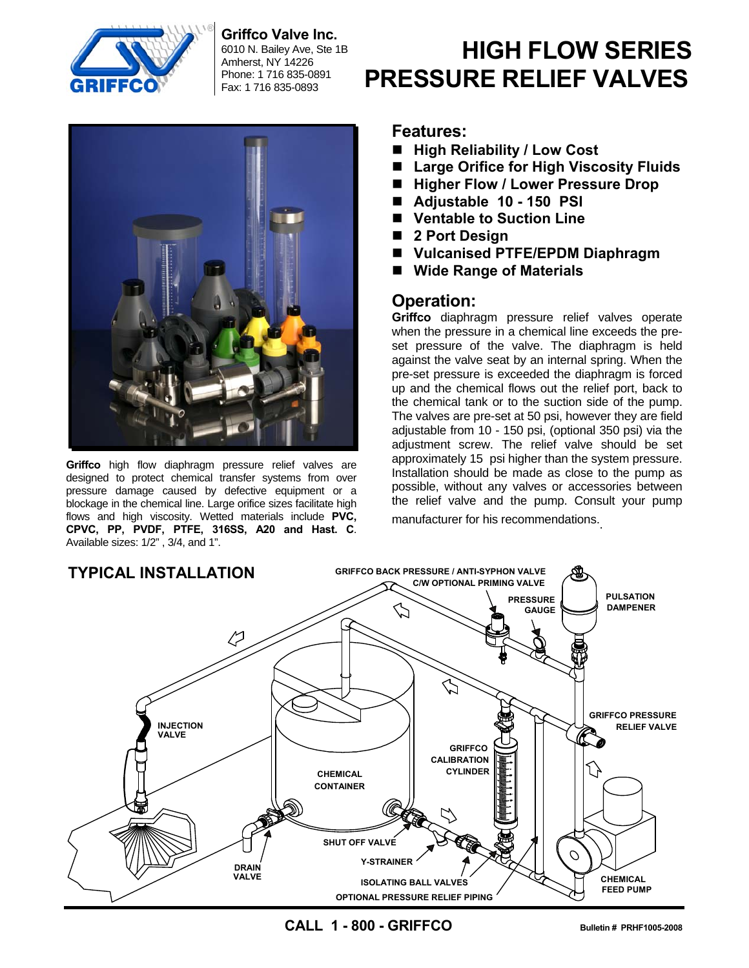

**Griffco Valve Inc.** 

6010 N. Bailey Ave, Ste 1B Amherst, NY 14226 Phone: 1 716 835-0891 Fax: 1 716 835-0893



**Griffco** high flow diaphragm pressure relief valves are designed to protect chemical transfer systems from over pressure damage caused by defective equipment or a blockage in the chemical line. Large orifice sizes facilitate high flows and high viscosity. Wetted materials include **PVC, CPVC, PP, PVDF, PTFE, 316SS, A20 and Hast. C**. Available sizes: 1/2" , 3/4, and 1".

# **HIGH FLOW SERIES PRESSURE RELIEF VALVES**

#### **Features:**

- High Reliability / Low Cost
- Large Orifice for High Viscosity Fluids
- Higher Flow / Lower Pressure Drop
- **Adjustable 10 150 PSI**
- Ventable to Suction Line
- **2 Port Design**
- **Vulcanised PTFE/EPDM Diaphragm**
- **Wide Range of Materials**

#### **Operation:**

**Griffco** diaphragm pressure relief valves operate when the pressure in a chemical line exceeds the preset pressure of the valve. The diaphragm is held against the valve seat by an internal spring. When the pre-set pressure is exceeded the diaphragm is forced up and the chemical flows out the relief port, back to the chemical tank or to the suction side of the pump. The valves are pre-set at 50 psi, however they are field adjustable from 10 - 150 psi, (optional 350 psi) via the adjustment screw. The relief valve should be set approximately 15 psi higher than the system pressure. Installation should be made as close to the pump as possible, without any valves or accessories between the relief valve and the pump. Consult your pump manufacturer for his recommendations..



**CALL 1 - 800 - GRIFFCO Bulletin # PRHF1005-2008**